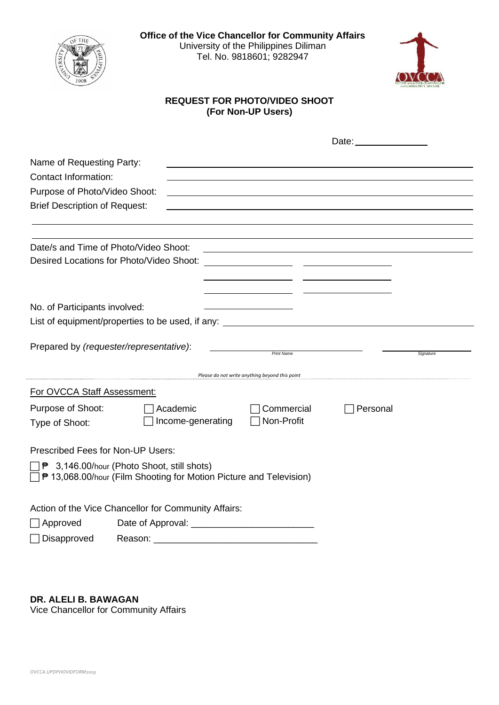



## **REQUEST FOR PHOTO/VIDEO SHOOT (For Non-UP Users)**

|                                          |                                                                                                                                            |                                                                                                                 | Date: <u>______________</u> |           |
|------------------------------------------|--------------------------------------------------------------------------------------------------------------------------------------------|-----------------------------------------------------------------------------------------------------------------|-----------------------------|-----------|
| Name of Requesting Party:                |                                                                                                                                            |                                                                                                                 |                             |           |
| <b>Contact Information:</b>              |                                                                                                                                            |                                                                                                                 |                             |           |
| Purpose of Photo/Video Shoot:            |                                                                                                                                            |                                                                                                                 |                             |           |
| <b>Brief Description of Request:</b>     |                                                                                                                                            |                                                                                                                 |                             |           |
|                                          |                                                                                                                                            |                                                                                                                 |                             |           |
|                                          |                                                                                                                                            |                                                                                                                 |                             |           |
| Date/s and Time of Photo/Video Shoot:    |                                                                                                                                            | the contract of the contract of the contract of the contract of the contract of the contract of the contract of |                             |           |
| Desired Locations for Photo/Video Shoot: |                                                                                                                                            |                                                                                                                 |                             |           |
|                                          |                                                                                                                                            |                                                                                                                 |                             |           |
|                                          |                                                                                                                                            |                                                                                                                 |                             |           |
| No. of Participants involved:            |                                                                                                                                            |                                                                                                                 |                             |           |
|                                          | List of equipment/properties to be used, if any: List of equipment/properties to be used, if any:                                          |                                                                                                                 |                             |           |
| Prepared by (requester/representative):  |                                                                                                                                            |                                                                                                                 |                             |           |
|                                          |                                                                                                                                            | <b>Print Name</b>                                                                                               |                             | Signature |
|                                          |                                                                                                                                            | Please do not write anything beyond this point                                                                  |                             |           |
| For OVCCA Staff Assessment:              |                                                                                                                                            |                                                                                                                 |                             |           |
| Purpose of Shoot:                        | Academic                                                                                                                                   | Commercial                                                                                                      | Personal                    |           |
| Type of Shoot:                           | Income-generating                                                                                                                          | Non-Profit                                                                                                      |                             |           |
|                                          |                                                                                                                                            |                                                                                                                 |                             |           |
| <b>Prescribed Fees for Non-UP Users:</b> |                                                                                                                                            |                                                                                                                 |                             |           |
|                                          | 1 <sup>→</sup> 3,146.00/hour (Photo Shoot, still shots)<br><sup>1</sup> ₹ 13,068.00/hour (Film Shooting for Motion Picture and Television) |                                                                                                                 |                             |           |
|                                          | Action of the Vice Chancellor for Community Affairs:                                                                                       |                                                                                                                 |                             |           |
| $\sqcap$ Approved                        |                                                                                                                                            |                                                                                                                 |                             |           |
| Disapproved                              | Reason:                                                                                                                                    |                                                                                                                 |                             |           |

**DR. ALELI B. BAWAGAN**

Vice Chancellor for Community Affairs